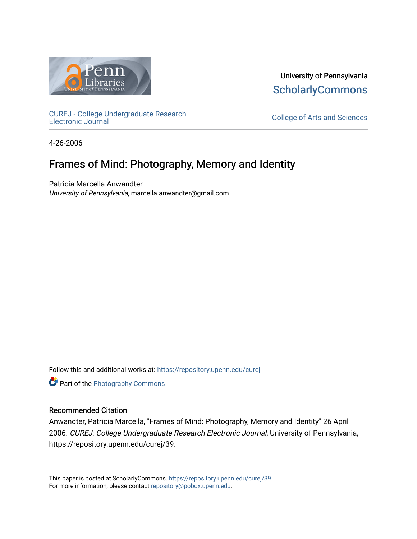

University of Pennsylvania **ScholarlyCommons** 

[CUREJ - College Undergraduate Research](https://repository.upenn.edu/curej) 

College of Arts and Sciences

4-26-2006

# Frames of Mind: Photography, Memory and Identity

Patricia Marcella Anwandter University of Pennsylvania, marcella.anwandter@gmail.com

Follow this and additional works at: [https://repository.upenn.edu/curej](https://repository.upenn.edu/curej?utm_source=repository.upenn.edu%2Fcurej%2F39&utm_medium=PDF&utm_campaign=PDFCoverPages)

**Part of the [Photography Commons](http://network.bepress.com/hgg/discipline/1142?utm_source=repository.upenn.edu%2Fcurej%2F39&utm_medium=PDF&utm_campaign=PDFCoverPages)** 

#### Recommended Citation

Anwandter, Patricia Marcella, "Frames of Mind: Photography, Memory and Identity" 26 April 2006. CUREJ: College Undergraduate Research Electronic Journal, University of Pennsylvania, https://repository.upenn.edu/curej/39.

This paper is posted at ScholarlyCommons.<https://repository.upenn.edu/curej/39> For more information, please contact [repository@pobox.upenn.edu.](mailto:repository@pobox.upenn.edu)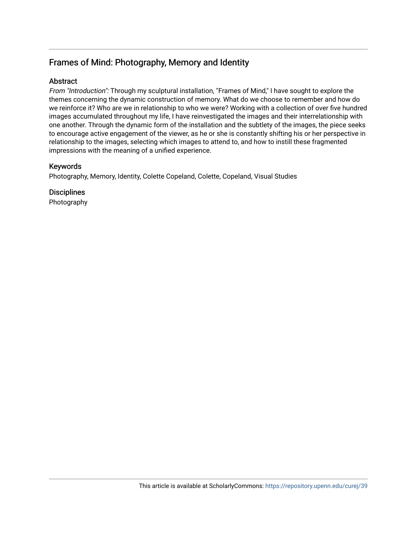## Frames of Mind: Photography, Memory and Identity

#### **Abstract**

From "Introduction": Through my sculptural installation, "Frames of Mind," I have sought to explore the themes concerning the dynamic construction of memory. What do we choose to remember and how do we reinforce it? Who are we in relationship to who we were? Working with a collection of over five hundred images accumulated throughout my life, I have reinvestigated the images and their interrelationship with one another. Through the dynamic form of the installation and the subtlety of the images, the piece seeks to encourage active engagement of the viewer, as he or she is constantly shifting his or her perspective in relationship to the images, selecting which images to attend to, and how to instill these fragmented impressions with the meaning of a unified experience.

#### Keywords

Photography, Memory, Identity, Colette Copeland, Colette, Copeland, Visual Studies

**Disciplines** Photography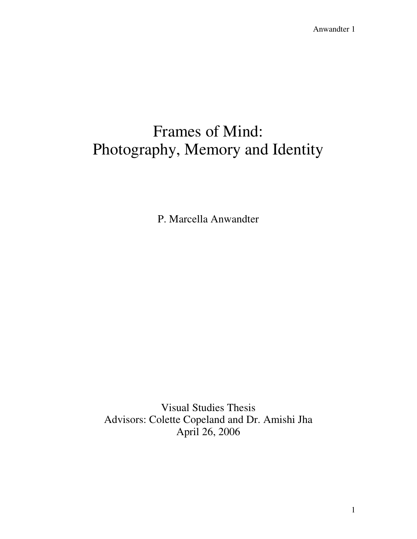# Frames of Mind: Photography, Memory and Identity

P. Marcella Anwandter

Visual Studies Thesis Advisors: Colette Copeland and Dr. Amishi Jha April 26, 2006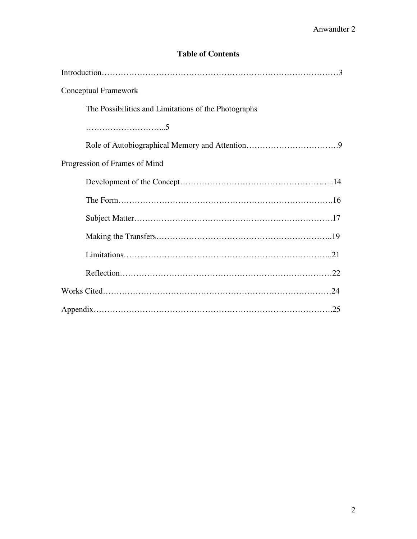### **Table of Contents**

| <b>Conceptual Framework</b>                          |
|------------------------------------------------------|
| The Possibilities and Limitations of the Photographs |
|                                                      |
|                                                      |
| Progression of Frames of Mind                        |
|                                                      |
|                                                      |
|                                                      |
|                                                      |
|                                                      |
|                                                      |
|                                                      |
|                                                      |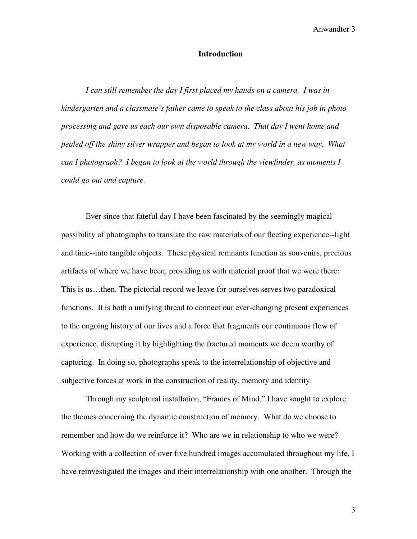#### **Introduction**

*I can still remember the day I first placed my hands on a camera. I was in kindergarten and a classmate's father came to speak to the class about his job in photo processing and gave us each our own disposable camera. That day I went home and pealed off the shiny silver wrapper and began to look at my world in a new way. What can I photograph? I began to look at the world through the viewfinder, as moments I could go out and capture.*

Ever since that fateful day I have been fascinated by the seemingly magical possibility of photographs to translate the raw materials of our fleeting experience--light and time--into tangible objects. These physical remnants function as souvenirs, precious artifacts of where we have been, providing us with material proof that we were there: This is us…then. The pictorial record we leave for ourselves serves two paradoxical functions. It is both a unifying thread to connect our ever-changing present experiences to the ongoing history of our lives and a force that fragments our continuous flow of experience, disrupting it by highlighting the fractured moments we deem worthy of capturing. In doing so, photographs speak to the interrelationship of objective and subjective forces at work in the construction of reality, memory and identity.

Through my sculptural installation, "Frames of Mind," I have sought to explore the themes concerning the dynamic construction of memory. What do we choose to remember and how do we reinforce it? Who are we in relationship to who we were? Working with a collection of over five hundred images accumulated throughout my life, I have reinvestigated the images and their interrelationship with one another. Through the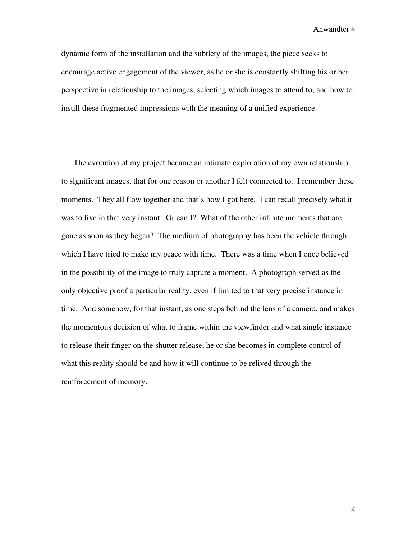dynamic form of the installation and the subtlety of the images, the piece seeks to encourage active engagement of the viewer, as he or she is constantly shifting his or her perspective in relationship to the images, selecting which images to attend to, and how to instill these fragmented impressions with the meaning of a unified experience.

The evolution of my project became an intimate exploration of my own relationship to significant images, that for one reason or another I felt connected to. I remember these moments. They all flow together and that's how I got here. I can recall precisely what it was to live in that very instant. Or can I? What of the other infinite moments that are gone as soon as they began? The medium of photography has been the vehicle through which I have tried to make my peace with time. There was a time when I once believed in the possibility of the image to truly capture a moment. A photograph served as the only objective proof a particular reality, even if limited to that very precise instance in time. And somehow, for that instant, as one steps behind the lens of a camera, and makes the momentous decision of what to frame within the viewfinder and what single instance to release their finger on the shutter release, he or she becomes in complete control of what this reality should be and how it will continue to be relived through the reinforcement of memory.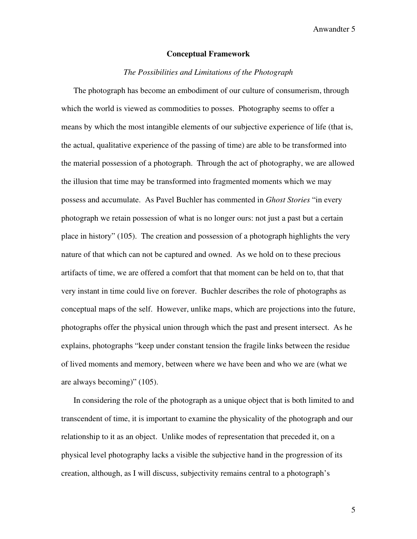#### **Conceptual Framework**

#### *The Possibilities and Limitations of the Photograph*

The photograph has become an embodiment of our culture of consumerism, through which the world is viewed as commodities to posses. Photography seems to offer a means by which the most intangible elements of our subjective experience of life (that is, the actual, qualitative experience of the passing of time) are able to be transformed into the material possession of a photograph. Through the act of photography, we are allowed the illusion that time may be transformed into fragmented moments which we may possess and accumulate. As Pavel Buchler has commented in *Ghost Stories* "in every photograph we retain possession of what is no longer ours: not just a past but a certain place in history" (105). The creation and possession of a photograph highlights the very nature of that which can not be captured and owned. As we hold on to these precious artifacts of time, we are offered a comfort that that moment can be held on to, that that very instant in time could live on forever. Buchler describes the role of photographs as conceptual maps of the self. However, unlike maps, which are projections into the future, photographs offer the physical union through which the past and present intersect. As he explains, photographs "keep under constant tension the fragile links between the residue of lived moments and memory, between where we have been and who we are (what we are always becoming)" (105).

In considering the role of the photograph as a unique object that is both limited to and transcendent of time, it is important to examine the physicality of the photograph and our relationship to it as an object. Unlike modes of representation that preceded it, on a physical level photography lacks a visible the subjective hand in the progression of its creation, although, as I will discuss, subjectivity remains central to a photograph's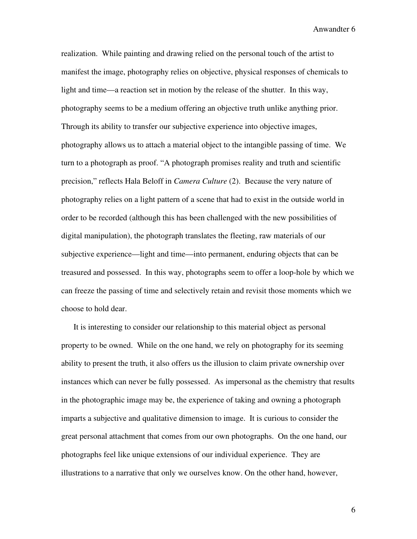realization. While painting and drawing relied on the personal touch of the artist to manifest the image, photography relies on objective, physical responses of chemicals to light and time—a reaction set in motion by the release of the shutter. In this way, photography seems to be a medium offering an objective truth unlike anything prior. Through its ability to transfer our subjective experience into objective images, photography allows us to attach a material object to the intangible passing of time. We turn to a photograph as proof. "A photograph promises reality and truth and scientific precision," reflects Hala Beloff in *Camera Culture* (2). Because the very nature of photography relies on a light pattern of a scene that had to exist in the outside world in order to be recorded (although this has been challenged with the new possibilities of digital manipulation), the photograph translates the fleeting, raw materials of our subjective experience—light and time—into permanent, enduring objects that can be treasured and possessed. In this way, photographs seem to offer a loop-hole by which we can freeze the passing of time and selectively retain and revisit those moments which we choose to hold dear.

It is interesting to consider our relationship to this material object as personal property to be owned. While on the one hand, we rely on photography for its seeming ability to present the truth, it also offers us the illusion to claim private ownership over instances which can never be fully possessed. As impersonal as the chemistry that results in the photographic image may be, the experience of taking and owning a photograph imparts a subjective and qualitative dimension to image. It is curious to consider the great personal attachment that comes from our own photographs. On the one hand, our photographs feel like unique extensions of our individual experience. They are illustrations to a narrative that only we ourselves know. On the other hand, however,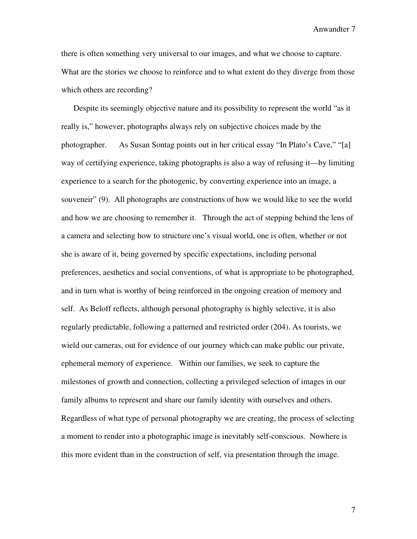there is often something very universal to our images, and what we choose to capture. What are the stories we choose to reinforce and to what extent do they diverge from those which others are recording?

Despite its seemingly objective nature and its possibility to represent the world "as it really is," however, photographs always rely on subjective choices made by the photographer. As Susan Sontag points out in her critical essay "In Plato's Cave," "[a] way of certifying experience, taking photographs is also a way of refusing it—by limiting experience to a search for the photogenic, by converting experience into an image, a souveneir" (9). All photographs are constructions of how we would like to see the world and how we are choosing to remember it. Through the act of stepping behind the lens of a camera and selecting how to structure one's visual world, one is often, whether or not she is aware of it, being governed by specific expectations, including personal preferences, aesthetics and social conventions, of what is appropriate to be photographed, and in turn what is worthy of being reinforced in the ongoing creation of memory and self. As Beloff reflects, although personal photography is highly selective, it is also regularly predictable, following a patterned and restricted order (204). As tourists, we wield our cameras, out for evidence of our journey which can make public our private, ephemeral memory of experience. Within our families, we seek to capture the milestones of growth and connection, collecting a privileged selection of images in our family albums to represent and share our family identity with ourselves and others. Regardless of what type of personal photography we are creating, the process of selecting a moment to render into a photographic image is inevitably self-conscious. Nowhere is this more evident than in the construction of self, via presentation through the image.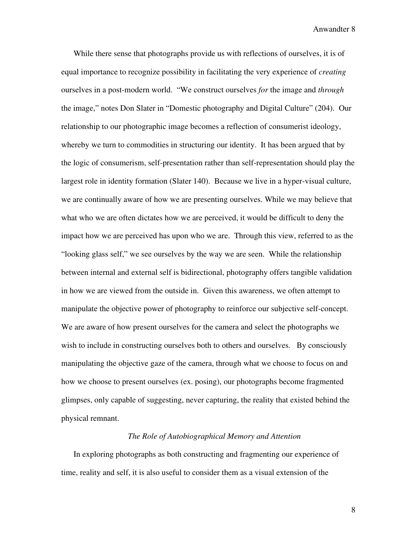While there sense that photographs provide us with reflections of ourselves, it is of equal importance to recognize possibility in facilitating the very experience of *creating* ourselves in a post-modern world. "We construct ourselves *for* the image and *through* the image," notes Don Slater in "Domestic photography and Digital Culture" (204). Our relationship to our photographic image becomes a reflection of consumerist ideology, whereby we turn to commodities in structuring our identity. It has been argued that by the logic of consumerism, self-presentation rather than self-representation should play the largest role in identity formation (Slater 140). Because we live in a hyper-visual culture, we are continually aware of how we are presenting ourselves. While we may believe that what who we are often dictates how we are perceived, it would be difficult to deny the impact how we are perceived has upon who we are. Through this view, referred to as the "looking glass self," we see ourselves by the way we are seen. While the relationship between internal and external self is bidirectional, photography offers tangible validation in how we are viewed from the outside in. Given this awareness, we often attempt to manipulate the objective power of photography to reinforce our subjective self-concept. We are aware of how present ourselves for the camera and select the photographs we wish to include in constructing ourselves both to others and ourselves. By consciously manipulating the objective gaze of the camera, through what we choose to focus on and how we choose to present ourselves (ex. posing), our photographs become fragmented glimpses, only capable of suggesting, never capturing, the reality that existed behind the physical remnant.

#### *The Role of Autobiographical Memory and Attention*

In exploring photographs as both constructing and fragmenting our experience of time, reality and self, it is also useful to consider them as a visual extension of the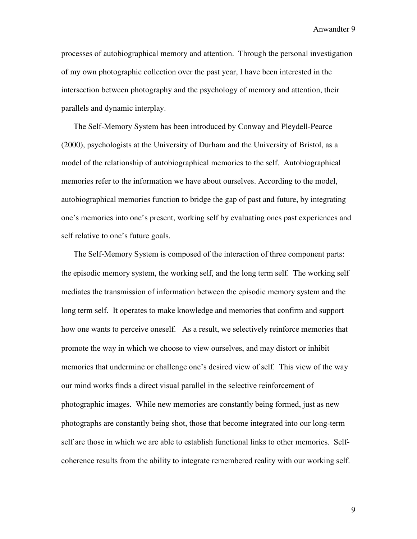processes of autobiographical memory and attention. Through the personal investigation of my own photographic collection over the past year, I have been interested in the intersection between photography and the psychology of memory and attention, their parallels and dynamic interplay.

The Self-Memory System has been introduced by Conway and Pleydell-Pearce (2000), psychologists at the University of Durham and the University of Bristol, as a model of the relationship of autobiographical memories to the self. Autobiographical memories refer to the information we have about ourselves. According to the model, autobiographical memories function to bridge the gap of past and future, by integrating one's memories into one's present, working self by evaluating ones past experiences and self relative to one's future goals.

The Self-Memory System is composed of the interaction of three component parts: the episodic memory system, the working self, and the long term self. The working self mediates the transmission of information between the episodic memory system and the long term self. It operates to make knowledge and memories that confirm and support how one wants to perceive oneself. As a result, we selectively reinforce memories that promote the way in which we choose to view ourselves, and may distort or inhibit memories that undermine or challenge one's desired view of self. This view of the way our mind works finds a direct visual parallel in the selective reinforcement of photographic images. While new memories are constantly being formed, just as new photographs are constantly being shot, those that become integrated into our long-term self are those in which we are able to establish functional links to other memories. Selfcoherence results from the ability to integrate remembered reality with our working self.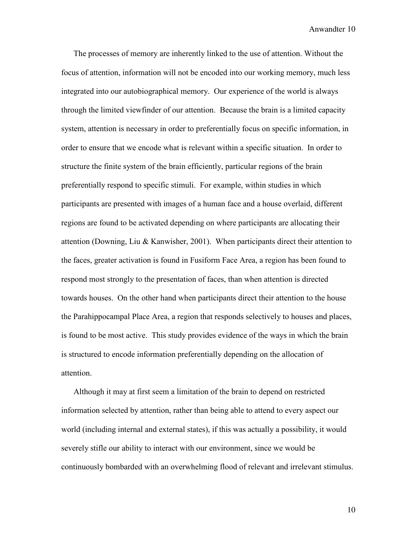The processes of memory are inherently linked to the use of attention. Without the focus of attention, information will not be encoded into our working memory, much less integrated into our autobiographical memory. Our experience of the world is always through the limited viewfinder of our attention. Because the brain is a limited capacity system, attention is necessary in order to preferentially focus on specific information, in order to ensure that we encode what is relevant within a specific situation. In order to structure the finite system of the brain efficiently, particular regions of the brain preferentially respond to specific stimuli. For example, within studies in which participants are presented with images of a human face and a house overlaid, different regions are found to be activated depending on where participants are allocating their attention (Downing, Liu & Kanwisher, 2001). When participants direct their attention to the faces, greater activation is found in Fusiform Face Area, a region has been found to respond most strongly to the presentation of faces, than when attention is directed towards houses. On the other hand when participants direct their attention to the house the Parahippocampal Place Area, a region that responds selectively to houses and places, is found to be most active. This study provides evidence of the ways in which the brain is structured to encode information preferentially depending on the allocation of attention.

Although it may at first seem a limitation of the brain to depend on restricted information selected by attention, rather than being able to attend to every aspect our world (including internal and external states), if this was actually a possibility, it would severely stifle our ability to interact with our environment, since we would be continuously bombarded with an overwhelming flood of relevant and irrelevant stimulus.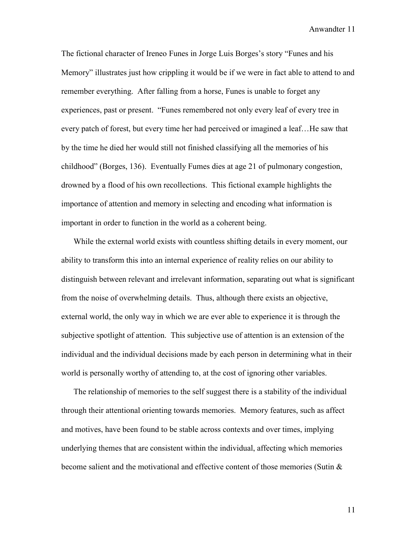The fictional character of Ireneo Funes in Jorge Luis Borges's story "Funes and his Memory" illustrates just how crippling it would be if we were in fact able to attend to and remember everything. After falling from a horse, Funes is unable to forget any experiences, past or present. "Funes remembered not only every leaf of every tree in every patch of forest, but every time her had perceived or imagined a leaf…He saw that by the time he died her would still not finished classifying all the memories of his childhood" (Borges, 136). Eventually Fumes dies at age 21 of pulmonary congestion, drowned by a flood of his own recollections. This fictional example highlights the importance of attention and memory in selecting and encoding what information is important in order to function in the world as a coherent being.

While the external world exists with countless shifting details in every moment, our ability to transform this into an internal experience of reality relies on our ability to distinguish between relevant and irrelevant information, separating out what is significant from the noise of overwhelming details. Thus, although there exists an objective, external world, the only way in which we are ever able to experience it is through the subjective spotlight of attention. This subjective use of attention is an extension of the individual and the individual decisions made by each person in determining what in their world is personally worthy of attending to, at the cost of ignoring other variables.

The relationship of memories to the self suggest there is a stability of the individual through their attentional orienting towards memories. Memory features, such as affect and motives, have been found to be stable across contexts and over times, implying underlying themes that are consistent within the individual, affecting which memories become salient and the motivational and effective content of those memories (Sutin &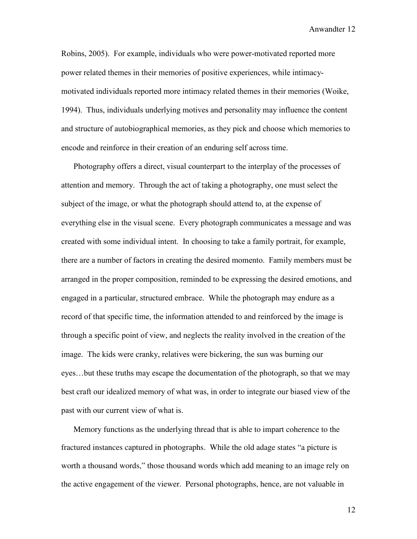Robins, 2005). For example, individuals who were power-motivated reported more power related themes in their memories of positive experiences, while intimacymotivated individuals reported more intimacy related themes in their memories (Woike, 1994). Thus, individuals underlying motives and personality may influence the content and structure of autobiographical memories, as they pick and choose which memories to encode and reinforce in their creation of an enduring self across time.

Photography offers a direct, visual counterpart to the interplay of the processes of attention and memory. Through the act of taking a photography, one must select the subject of the image, or what the photograph should attend to, at the expense of everything else in the visual scene. Every photograph communicates a message and was created with some individual intent. In choosing to take a family portrait, for example, there are a number of factors in creating the desired momento. Family members must be arranged in the proper composition, reminded to be expressing the desired emotions, and engaged in a particular, structured embrace. While the photograph may endure as a record of that specific time, the information attended to and reinforced by the image is through a specific point of view, and neglects the reality involved in the creation of the image. The kids were cranky, relatives were bickering, the sun was burning our eyes…but these truths may escape the documentation of the photograph, so that we may best craft our idealized memory of what was, in order to integrate our biased view of the past with our current view of what is.

Memory functions as the underlying thread that is able to impart coherence to the fractured instances captured in photographs. While the old adage states "a picture is worth a thousand words," those thousand words which add meaning to an image rely on the active engagement of the viewer. Personal photographs, hence, are not valuable in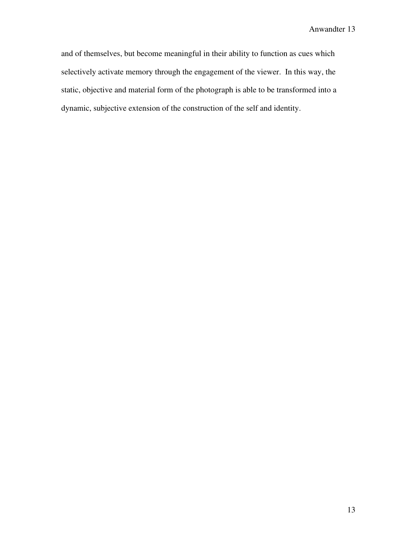and of themselves, but become meaningful in their ability to function as cues which selectively activate memory through the engagement of the viewer. In this way, the static, objective and material form of the photograph is able to be transformed into a dynamic, subjective extension of the construction of the self and identity.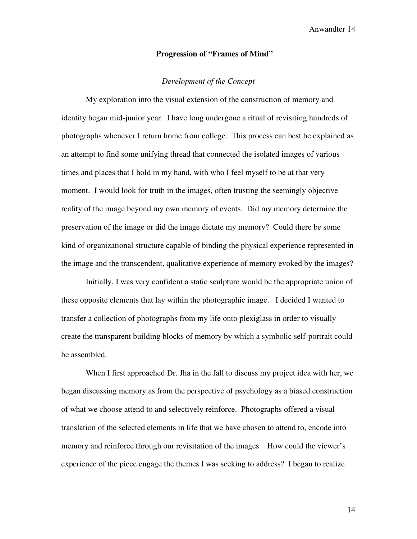#### **Progression of "Frames of Mind"**

#### *Development of the Concept*

My exploration into the visual extension of the construction of memory and identity began mid-junior year. I have long undergone a ritual of revisiting hundreds of photographs whenever I return home from college. This process can best be explained as an attempt to find some unifying thread that connected the isolated images of various times and places that I hold in my hand, with who I feel myself to be at that very moment. I would look for truth in the images, often trusting the seemingly objective reality of the image beyond my own memory of events. Did my memory determine the preservation of the image or did the image dictate my memory? Could there be some kind of organizational structure capable of binding the physical experience represented in the image and the transcendent, qualitative experience of memory evoked by the images?

Initially, I was very confident a static sculpture would be the appropriate union of these opposite elements that lay within the photographic image. I decided I wanted to transfer a collection of photographs from my life onto plexiglass in order to visually create the transparent building blocks of memory by which a symbolic self-portrait could be assembled.

When I first approached Dr. Jha in the fall to discuss my project idea with her, we began discussing memory as from the perspective of psychology as a biased construction of what we choose attend to and selectively reinforce. Photographs offered a visual translation of the selected elements in life that we have chosen to attend to, encode into memory and reinforce through our revisitation of the images. How could the viewer's experience of the piece engage the themes I was seeking to address? I began to realize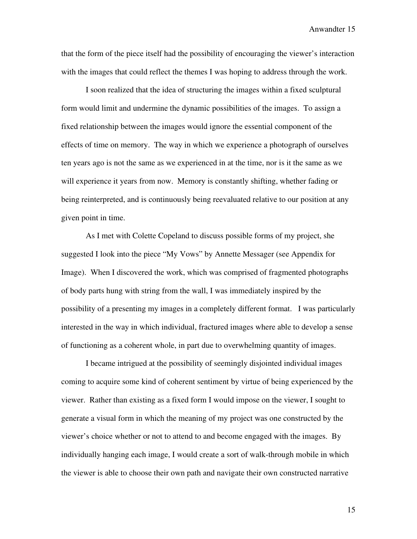that the form of the piece itself had the possibility of encouraging the viewer's interaction with the images that could reflect the themes I was hoping to address through the work.

I soon realized that the idea of structuring the images within a fixed sculptural form would limit and undermine the dynamic possibilities of the images. To assign a fixed relationship between the images would ignore the essential component of the effects of time on memory. The way in which we experience a photograph of ourselves ten years ago is not the same as we experienced in at the time, nor is it the same as we will experience it years from now. Memory is constantly shifting, whether fading or being reinterpreted, and is continuously being reevaluated relative to our position at any given point in time.

As I met with Colette Copeland to discuss possible forms of my project, she suggested I look into the piece "My Vows" by Annette Messager (see Appendix for Image). When I discovered the work, which was comprised of fragmented photographs of body parts hung with string from the wall, I was immediately inspired by the possibility of a presenting my images in a completely different format. I was particularly interested in the way in which individual, fractured images where able to develop a sense of functioning as a coherent whole, in part due to overwhelming quantity of images.

I became intrigued at the possibility of seemingly disjointed individual images coming to acquire some kind of coherent sentiment by virtue of being experienced by the viewer. Rather than existing as a fixed form I would impose on the viewer, I sought to generate a visual form in which the meaning of my project was one constructed by the viewer's choice whether or not to attend to and become engaged with the images. By individually hanging each image, I would create a sort of walk-through mobile in which the viewer is able to choose their own path and navigate their own constructed narrative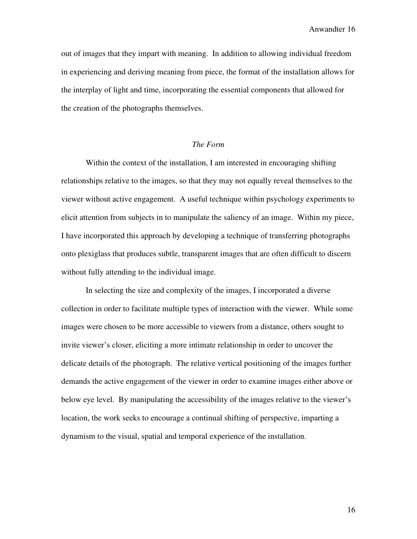out of images that they impart with meaning. In addition to allowing individual freedom in experiencing and deriving meaning from piece, the format of the installation allows for the interplay of light and time, incorporating the essential components that allowed for the creation of the photographs themselves.

#### *The Form*

Within the context of the installation, I am interested in encouraging shifting relationships relative to the images, so that they may not equally reveal themselves to the viewer without active engagement. A useful technique within psychology experiments to elicit attention from subjects in to manipulate the saliency of an image. Within my piece, I have incorporated this approach by developing a technique of transferring photographs onto plexiglass that produces subtle, transparent images that are often difficult to discern without fully attending to the individual image.

In selecting the size and complexity of the images, I incorporated a diverse collection in order to facilitate multiple types of interaction with the viewer. While some images were chosen to be more accessible to viewers from a distance, others sought to invite viewer's closer, eliciting a more intimate relationship in order to uncover the delicate details of the photograph. The relative vertical positioning of the images further demands the active engagement of the viewer in order to examine images either above or below eye level. By manipulating the accessibility of the images relative to the viewer's location, the work seeks to encourage a continual shifting of perspective, imparting a dynamism to the visual, spatial and temporal experience of the installation.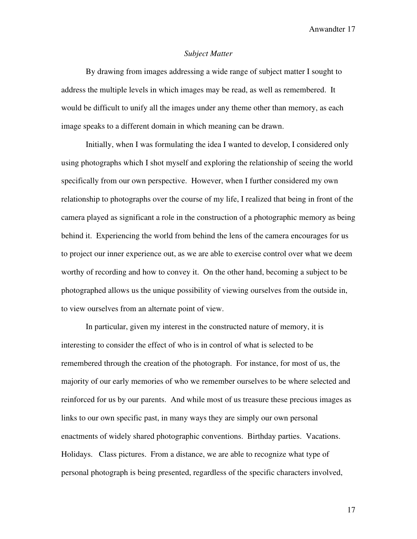#### *Subject Matter*

By drawing from images addressing a wide range of subject matter I sought to address the multiple levels in which images may be read, as well as remembered. It would be difficult to unify all the images under any theme other than memory, as each image speaks to a different domain in which meaning can be drawn.

Initially, when I was formulating the idea I wanted to develop, I considered only using photographs which I shot myself and exploring the relationship of seeing the world specifically from our own perspective. However, when I further considered my own relationship to photographs over the course of my life, I realized that being in front of the camera played as significant a role in the construction of a photographic memory as being behind it. Experiencing the world from behind the lens of the camera encourages for us to project our inner experience out, as we are able to exercise control over what we deem worthy of recording and how to convey it. On the other hand, becoming a subject to be photographed allows us the unique possibility of viewing ourselves from the outside in, to view ourselves from an alternate point of view.

In particular, given my interest in the constructed nature of memory, it is interesting to consider the effect of who is in control of what is selected to be remembered through the creation of the photograph. For instance, for most of us, the majority of our early memories of who we remember ourselves to be where selected and reinforced for us by our parents. And while most of us treasure these precious images as links to our own specific past, in many ways they are simply our own personal enactments of widely shared photographic conventions. Birthday parties. Vacations. Holidays. Class pictures. From a distance, we are able to recognize what type of personal photograph is being presented, regardless of the specific characters involved,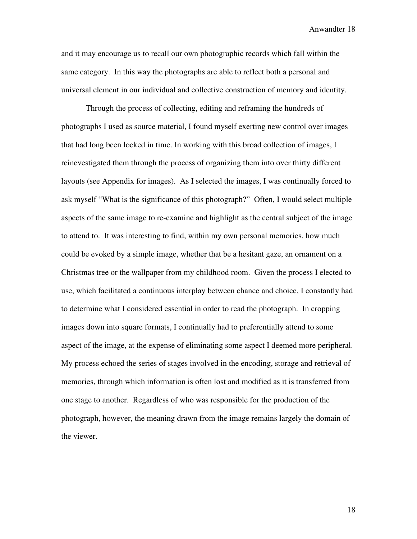and it may encourage us to recall our own photographic records which fall within the same category. In this way the photographs are able to reflect both a personal and universal element in our individual and collective construction of memory and identity.

Through the process of collecting, editing and reframing the hundreds of photographs I used as source material, I found myself exerting new control over images that had long been locked in time. In working with this broad collection of images, I reinevestigated them through the process of organizing them into over thirty different layouts (see Appendix for images). As I selected the images, I was continually forced to ask myself "What is the significance of this photograph?" Often, I would select multiple aspects of the same image to re-examine and highlight as the central subject of the image to attend to. It was interesting to find, within my own personal memories, how much could be evoked by a simple image, whether that be a hesitant gaze, an ornament on a Christmas tree or the wallpaper from my childhood room. Given the process I elected to use, which facilitated a continuous interplay between chance and choice, I constantly had to determine what I considered essential in order to read the photograph. In cropping images down into square formats, I continually had to preferentially attend to some aspect of the image, at the expense of eliminating some aspect I deemed more peripheral. My process echoed the series of stages involved in the encoding, storage and retrieval of memories, through which information is often lost and modified as it is transferred from one stage to another. Regardless of who was responsible for the production of the photograph, however, the meaning drawn from the image remains largely the domain of the viewer.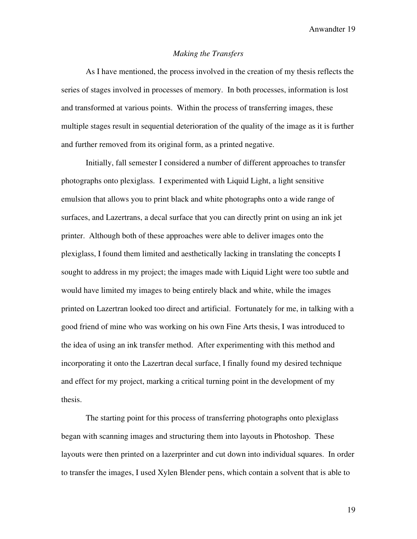#### *Making the Transfers*

As I have mentioned, the process involved in the creation of my thesis reflects the series of stages involved in processes of memory. In both processes, information is lost and transformed at various points. Within the process of transferring images, these multiple stages result in sequential deterioration of the quality of the image as it is further and further removed from its original form, as a printed negative.

Initially, fall semester I considered a number of different approaches to transfer photographs onto plexiglass. I experimented with Liquid Light, a light sensitive emulsion that allows you to print black and white photographs onto a wide range of surfaces, and Lazertrans, a decal surface that you can directly print on using an ink jet printer. Although both of these approaches were able to deliver images onto the plexiglass, I found them limited and aesthetically lacking in translating the concepts I sought to address in my project; the images made with Liquid Light were too subtle and would have limited my images to being entirely black and white, while the images printed on Lazertran looked too direct and artificial. Fortunately for me, in talking with a good friend of mine who was working on his own Fine Arts thesis, I was introduced to the idea of using an ink transfer method. After experimenting with this method and incorporating it onto the Lazertran decal surface, I finally found my desired technique and effect for my project, marking a critical turning point in the development of my thesis.

The starting point for this process of transferring photographs onto plexiglass began with scanning images and structuring them into layouts in Photoshop. These layouts were then printed on a lazerprinter and cut down into individual squares. In order to transfer the images, I used Xylen Blender pens, which contain a solvent that is able to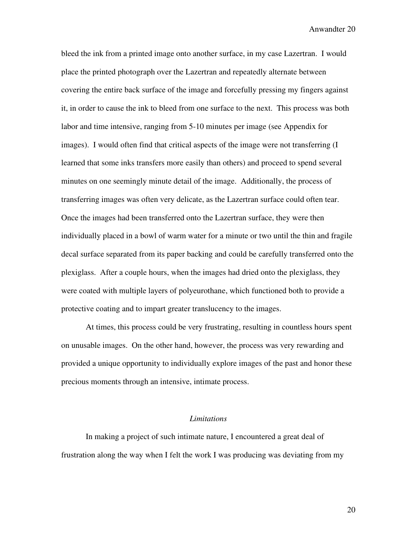bleed the ink from a printed image onto another surface, in my case Lazertran. I would place the printed photograph over the Lazertran and repeatedly alternate between covering the entire back surface of the image and forcefully pressing my fingers against it, in order to cause the ink to bleed from one surface to the next. This process was both labor and time intensive, ranging from 5-10 minutes per image (see Appendix for images). I would often find that critical aspects of the image were not transferring (I learned that some inks transfers more easily than others) and proceed to spend several minutes on one seemingly minute detail of the image. Additionally, the process of transferring images was often very delicate, as the Lazertran surface could often tear. Once the images had been transferred onto the Lazertran surface, they were then individually placed in a bowl of warm water for a minute or two until the thin and fragile decal surface separated from its paper backing and could be carefully transferred onto the plexiglass. After a couple hours, when the images had dried onto the plexiglass, they were coated with multiple layers of polyeurothane, which functioned both to provide a protective coating and to impart greater translucency to the images.

At times, this process could be very frustrating, resulting in countless hours spent on unusable images. On the other hand, however, the process was very rewarding and provided a unique opportunity to individually explore images of the past and honor these precious moments through an intensive, intimate process.

#### *Limitations*

In making a project of such intimate nature, I encountered a great deal of frustration along the way when I felt the work I was producing was deviating from my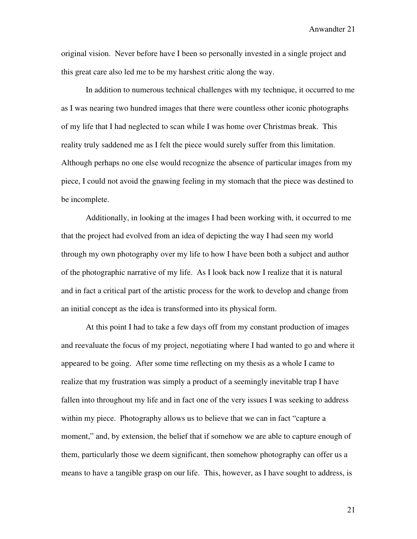original vision. Never before have I been so personally invested in a single project and this great care also led me to be my harshest critic along the way.

In addition to numerous technical challenges with my technique, it occurred to me as I was nearing two hundred images that there were countless other iconic photographs of my life that I had neglected to scan while I was home over Christmas break. This reality truly saddened me as I felt the piece would surely suffer from this limitation. Although perhaps no one else would recognize the absence of particular images from my piece, I could not avoid the gnawing feeling in my stomach that the piece was destined to be incomplete.

Additionally, in looking at the images I had been working with, it occurred to me that the project had evolved from an idea of depicting the way I had seen my world through my own photography over my life to how I have been both a subject and author of the photographic narrative of my life. As I look back now I realize that it is natural and in fact a critical part of the artistic process for the work to develop and change from an initial concept as the idea is transformed into its physical form.

At this point I had to take a few days off from my constant production of images and reevaluate the focus of my project, negotiating where I had wanted to go and where it appeared to be going. After some time reflecting on my thesis as a whole I came to realize that my frustration was simply a product of a seemingly inevitable trap I have fallen into throughout my life and in fact one of the very issues I was seeking to address within my piece. Photography allows us to believe that we can in fact "capture a moment," and, by extension, the belief that if somehow we are able to capture enough of them, particularly those we deem significant, then somehow photography can offer us a means to have a tangible grasp on our life. This, however, as I have sought to address, is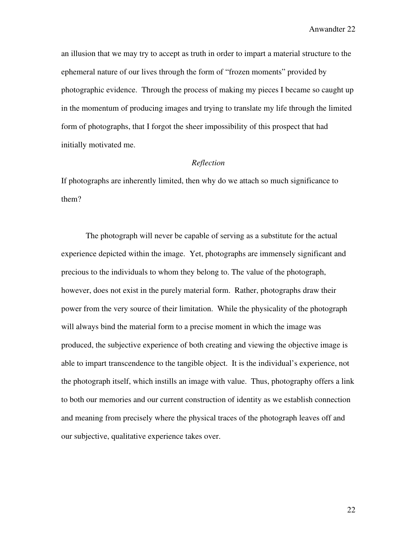an illusion that we may try to accept as truth in order to impart a material structure to the ephemeral nature of our lives through the form of "frozen moments" provided by photographic evidence. Through the process of making my pieces I became so caught up in the momentum of producing images and trying to translate my life through the limited form of photographs, that I forgot the sheer impossibility of this prospect that had initially motivated me.

#### *Reflection*

If photographs are inherently limited, then why do we attach so much significance to them?

The photograph will never be capable of serving as a substitute for the actual experience depicted within the image. Yet, photographs are immensely significant and precious to the individuals to whom they belong to. The value of the photograph, however, does not exist in the purely material form. Rather, photographs draw their power from the very source of their limitation. While the physicality of the photograph will always bind the material form to a precise moment in which the image was produced, the subjective experience of both creating and viewing the objective image is able to impart transcendence to the tangible object. It is the individual's experience, not the photograph itself, which instills an image with value. Thus, photography offers a link to both our memories and our current construction of identity as we establish connection and meaning from precisely where the physical traces of the photograph leaves off and our subjective, qualitative experience takes over.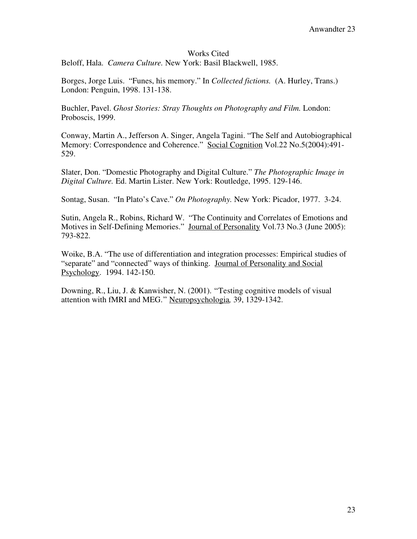#### Works Cited

Beloff, Hala. *Camera Culture.* New York: Basil Blackwell, 1985.

Borges, Jorge Luis. "Funes, his memory." In *Collected fictions.* (A. Hurley, Trans.) London: Penguin, 1998. 131-138.

Buchler, Pavel. *Ghost Stories: Stray Thoughts on Photography and Film.* London: Proboscis, 1999.

Conway, Martin A., Jefferson A. Singer, Angela Tagini. "The Self and Autobiographical Memory: Correspondence and Coherence." Social Cognition Vol.22 No.5(2004):491- 529.

Slater, Don. "Domestic Photography and Digital Culture." *The Photographic Image in Digital Culture.* Ed. Martin Lister. New York: Routledge, 1995. 129-146.

Sontag, Susan. "In Plato's Cave." *On Photography.* New York: Picador, 1977. 3-24.

Sutin, Angela R., Robins, Richard W. "The Continuity and Correlates of Emotions and Motives in Self-Defining Memories." Journal of Personality Vol.73 No.3 (June 2005): 793-822.

Woike, B.A. "The use of differentiation and integration processes: Empirical studies of "separate" and "connected" ways of thinking. Journal of Personality and Social Psychology. 1994. 142-150.

Downing, R., Liu, J. & Kanwisher, N. (2001). "Testing cognitive models of visual attention with fMRI and MEG." Neuropsychologia*,* 39, 1329-1342.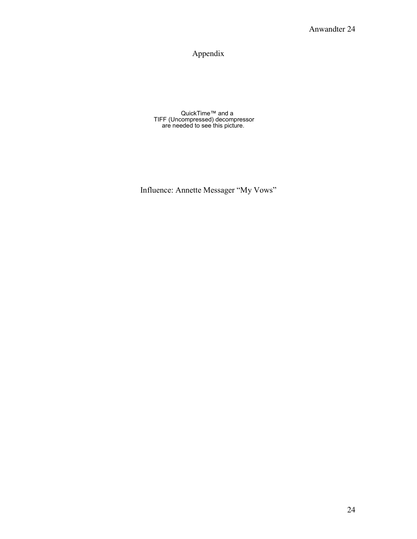Appendix

QuickTime™ and a TIFF (Uncompressed) decompressor are needed to see this picture.

Influence: Annette Messager "My Vows"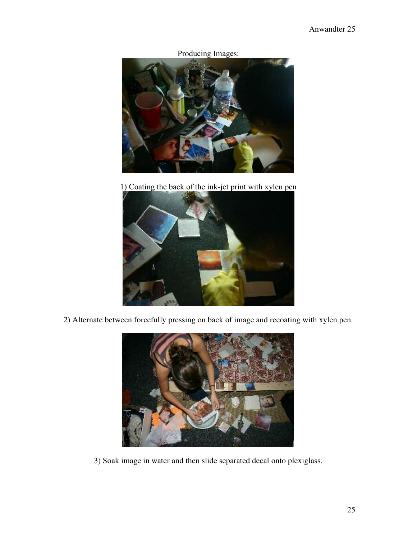

Producing Images:

1) Coating the back of the ink-jet print with xylen pen



2) Alternate between forcefully pressing on back of image and recoating with xylen pen.



3) Soak image in water and then slide separated decal onto plexiglass.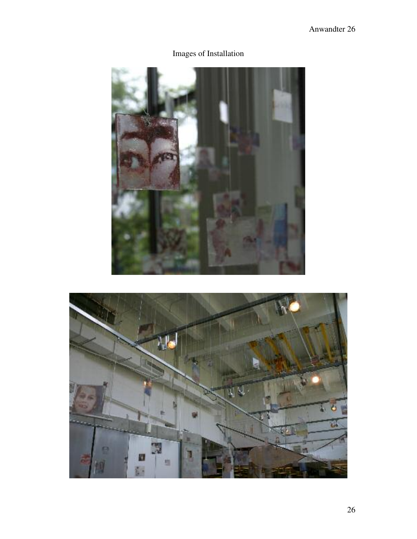## Images of Installation



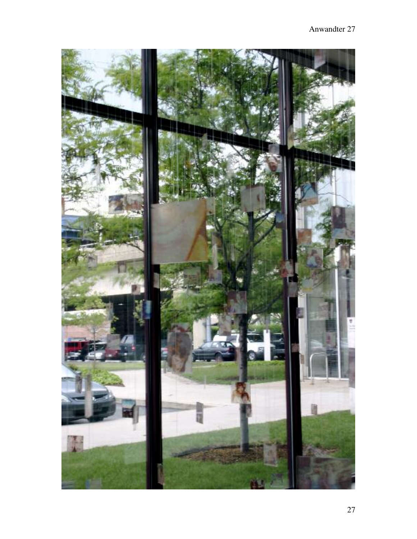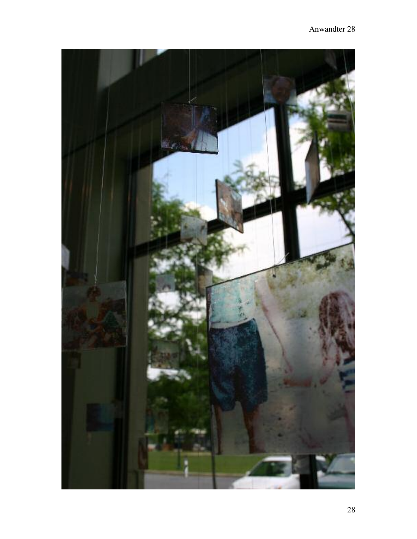